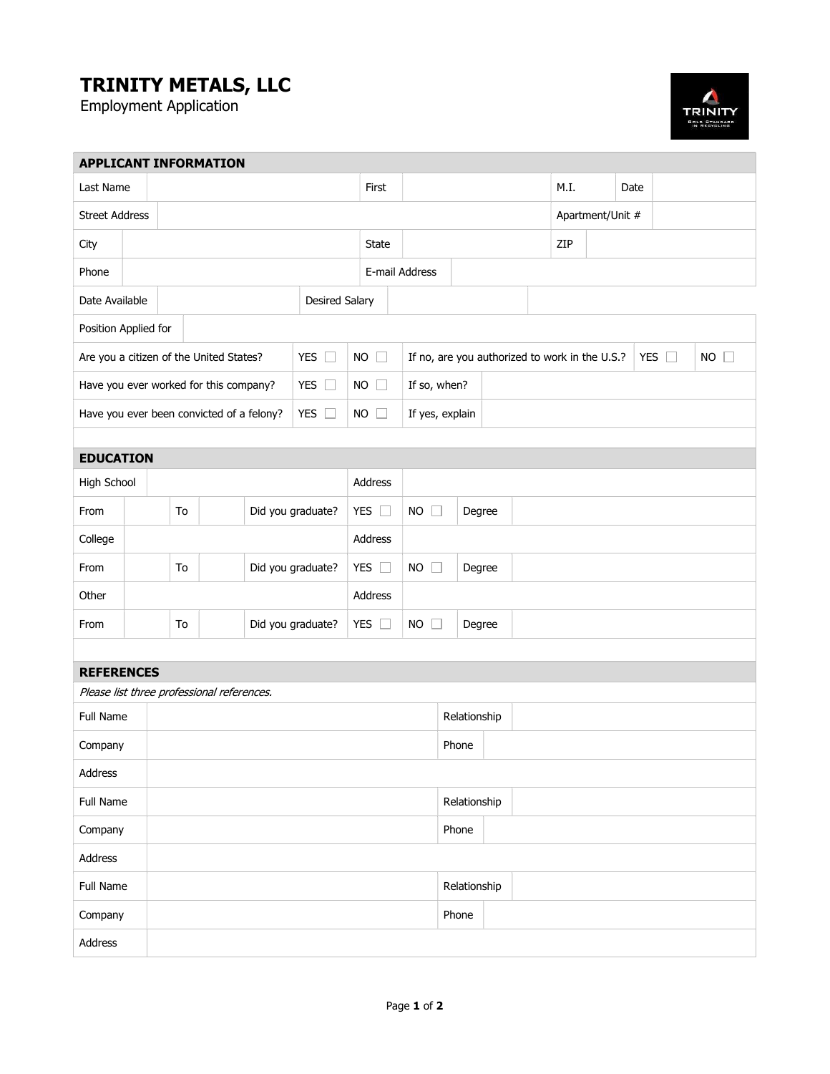## TRINITY METALS, LLC

Employment Application



| <b>APPLICANT INFORMATION</b>                               |                         |  |                   |               |               |                                                                 |                |                 |              |             |                  |     |      |  |  |  |  |  |
|------------------------------------------------------------|-------------------------|--|-------------------|---------------|---------------|-----------------------------------------------------------------|----------------|-----------------|--------------|-------------|------------------|-----|------|--|--|--|--|--|
|                                                            | Last Name               |  |                   |               |               |                                                                 | First          |                 |              |             | M.I.             |     | Date |  |  |  |  |  |
| <b>Street Address</b>                                      |                         |  |                   |               |               |                                                                 |                |                 |              |             | Apartment/Unit # |     |      |  |  |  |  |  |
| City                                                       |                         |  |                   |               |               |                                                                 | <b>State</b>   |                 |              |             |                  | ZIP |      |  |  |  |  |  |
| Phone                                                      |                         |  |                   |               |               |                                                                 | E-mail Address |                 |              |             |                  |     |      |  |  |  |  |  |
| Date Available<br><b>Desired Salary</b>                    |                         |  |                   |               |               |                                                                 |                |                 |              |             |                  |     |      |  |  |  |  |  |
| Position Applied for                                       |                         |  |                   |               |               |                                                                 |                |                 |              |             |                  |     |      |  |  |  |  |  |
| Are you a citizen of the United States?<br>YES $\square$   |                         |  |                   |               | $NO$ $\Box$   | If no, are you authorized to work in the U.S.?<br>YES $\square$ |                |                 |              | $NO$ $\Box$ |                  |     |      |  |  |  |  |  |
| Have you ever worked for this company?<br>YES $\Box$       |                         |  |                   |               |               | $NO$ $\Box$                                                     | If so, when?   |                 |              |             |                  |     |      |  |  |  |  |  |
| YES $\square$<br>Have you ever been convicted of a felony? |                         |  |                   |               |               |                                                                 | $NO$ $\Box$    | If yes, explain |              |             |                  |     |      |  |  |  |  |  |
|                                                            |                         |  |                   |               |               |                                                                 |                |                 |              |             |                  |     |      |  |  |  |  |  |
| <b>EDUCATION</b>                                           |                         |  |                   |               |               |                                                                 |                |                 |              |             |                  |     |      |  |  |  |  |  |
| High School                                                |                         |  |                   |               |               |                                                                 |                | Address         |              |             |                  |     |      |  |  |  |  |  |
| From                                                       | To                      |  | Did you graduate? | YES $\square$ |               | $NO$ $\Box$                                                     |                | Degree          |              |             |                  |     |      |  |  |  |  |  |
| College                                                    |                         |  |                   |               |               |                                                                 |                | Address         |              |             |                  |     |      |  |  |  |  |  |
| From                                                       | Did you graduate?<br>To |  |                   |               | YES $\square$ | $NO$ $\Box$                                                     |                | Degree          |              |             |                  |     |      |  |  |  |  |  |
| Other                                                      |                         |  |                   |               |               |                                                                 |                | Address         |              |             |                  |     |      |  |  |  |  |  |
| From                                                       | Did you graduate?<br>To |  |                   |               | YES $\Box$    | $NO$ $\Box$<br>Degree                                           |                |                 |              |             |                  |     |      |  |  |  |  |  |
|                                                            |                         |  |                   |               |               |                                                                 |                |                 |              |             |                  |     |      |  |  |  |  |  |
| <b>REFERENCES</b>                                          |                         |  |                   |               |               |                                                                 |                |                 |              |             |                  |     |      |  |  |  |  |  |
| Please list three professional references.                 |                         |  |                   |               |               |                                                                 |                |                 |              |             |                  |     |      |  |  |  |  |  |
| Full Name                                                  |                         |  |                   |               |               |                                                                 |                |                 | Relationship |             |                  |     |      |  |  |  |  |  |
| Company                                                    |                         |  |                   |               |               |                                                                 |                | Phone           |              |             |                  |     |      |  |  |  |  |  |
| Address                                                    |                         |  |                   |               |               |                                                                 |                |                 |              |             |                  |     |      |  |  |  |  |  |
| Full Name                                                  |                         |  |                   |               |               |                                                                 | Relationship   |                 |              |             |                  |     |      |  |  |  |  |  |
| Company                                                    |                         |  |                   |               |               |                                                                 |                | Phone           |              |             |                  |     |      |  |  |  |  |  |
| Address                                                    |                         |  |                   |               |               |                                                                 |                |                 |              |             |                  |     |      |  |  |  |  |  |
|                                                            | Full Name               |  |                   |               |               |                                                                 |                |                 | Relationship |             |                  |     |      |  |  |  |  |  |
| Company                                                    |                         |  |                   |               |               |                                                                 |                | Phone           |              |             |                  |     |      |  |  |  |  |  |
| Address                                                    |                         |  |                   |               |               |                                                                 |                |                 |              |             |                  |     |      |  |  |  |  |  |